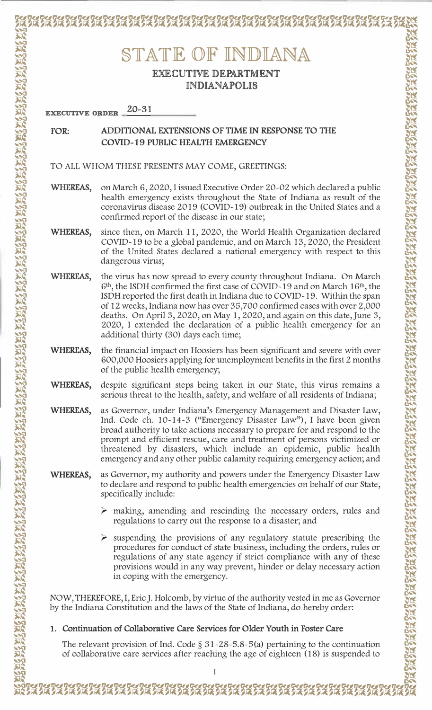# 

# STATE OF INDIANA

## **EXECUTIVE DEPARTMENT INDIANAPOLIS**

 $20 - 31$ **EXECUTIVE ORDER** 

#### ADDITIONAL EXTENSIONS OF TIME IN RESPONSE TO THE FOR: **COVID-19 PUBLIC HEALTH EMERGENCY**

TO ALL WHOM THESE PRESENTS MAY COME, GREETINGS:

- WHEREAS, on March 6, 2020, I issued Executive Order 20-02 which declared a public health emergency exists throughout the State of Indiana as result of the coronavirus disease 2019 (COVID-19) outbreak in the United States and a confirmed report of the disease in our state;
- **WHEREAS,** since then, on March 11, 2020, the World Health Organization declared COVID-19 to be a global pandemic, and on March 13, 2020, the President of the United States declared a national emergency with respect to this dangerous virus;
- WHEREAS, the virus has now spread to every county throughout Indiana. On March 6<sup>th</sup>, the ISDH confirmed the first case of COVID-19 and on March 16<sup>th</sup>, the ISDH reported the first death in Indiana due to COVID-19. Within the span of 12 weeks, Indiana now has over 35,700 confirmed cases with over 2,000 deaths. On April 3, 2020, on May 1, 2020, and again on this date, June 3, 2020, I extended the declaration of a public health emergency for an additional thirty (30) days each time;
- WHEREAS, the financial impact on Hoosiers has been significant and severe with over 600,000 Hoosiers applying for unemployment benefits in the first 2 months of the public health emergency;
- despite significant steps being taken in our State, this virus remains a WHEREAS, serious threat to the health, safety, and welfare of all residents of Indiana;
- WHEREAS, as Governor, under Indiana's Emergency Management and Disaster Law, Ind. Code ch. 10-14-3 ("Emergency Disaster Law"), I have been given broad authority to take actions necessary to prepare for and respond to the prompt and efficient rescue, care and treatment of persons victimized or threatened by disasters, which include an epidemic, public health emergency and any other public calamity requiring emergency action; and
- as Governor, my authority and powers under the Emergency Disaster Law WHEREAS, to declare and respond to public health emergencies on behalf of our State, specifically include:
	- making, amending and rescinding the necessary orders, rules and regulations to carry out the response to a disaster; and
	- $\triangleright$  suspending the provisions of any regulatory statute prescribing the procedures for conduct of state business, including the orders, rules or regulations of any state agency if strict compliance with any of these provisions would in any way prevent, hinder or delay necessary action in coping with the emergency.

NOW, THEREFORE, I, Eric J. Holcomb, by virtue of the authority vested in me as Governor by the Indiana Constitution and the laws of the State of Indiana, do hereby order:

### 1. Continuation of Collaborative Care Services for Older Youth in Foster Care

The relevant provision of Ind. Code  $\S 31 - 28 - 5.8 - 5(a)$  pertaining to the continuation of collaborative care services after reaching the age of eighteen (18) is suspended to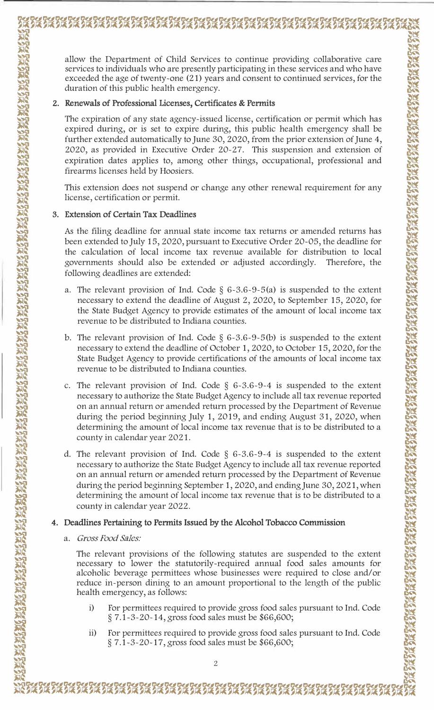#### 2. Renewals of Professional Licenses, Certificates & Permits

The expiration of any state agency-issued license, certification or permit which has expired during, or is set to expire during, this public health emergency shall be further extended automatically to June 30, 2020, from the prior extension of June 4, 2020, as provided in Executive Order 20-27. This suspension and extension of expiration dates applies to, among other things, occupational, professional and firearms licenses held by Hoosiers.

This extension does not suspend or change any other renewal requirement for any license, certification or permit.

#### 3. Extension of Certain Tax Deadlines

As the filing deadline for annual state income tax returns or amended returns has been extended to July 15, 2020, pursuant to Executive Order 20-05, the deadline for the calculation of local income tax revenue available for distribution to local governments should also be extended or adjusted accordingly. Therefore, the following deadlines are extended:

- a. The relevant provision of Ind. Code  $\S$  6-3.6-9-5(a) is suspended to the extent necessary to extend the deadline of August 2, 2020, to September 15, 2020, for the State Budget Agency to provide estimates of the amount of local income tax revenue to be distributed to Indiana counties.
- b. The relevant provision of Ind. Code  $\S$  6-3.6-9-5(b) is suspended to the extent necessary to extend the deadline of October 1, 2020, to October 15, 2020, for the State Budget Agency to provide certifications of the amounts of local income tax revenue to be distributed to Indiana counties.
- c. The relevant provision of Ind. Code  $\S$  6-3.6-9-4 is suspended to the extent necessary to authorize the State Budget Agency to include all tax revenue reported on an annual return or amended return processed by the Department of Revenue during the period beginning July 1, 2019, and ending August 31, 2020, when determining the amount of local income tax revenue that is to be distributed to a county in calendar year 2021.
- d. The relevant provision of Ind. Code  $\S$  6-3.6-9-4 is suspended to the extent necessary to authorize the State Budget Agency to include all tax revenue reported on an annual return or amended return processed by the Department of Revenue during the period beginning September 1, 2020, and ending June 30, 2021, when determining the amount of local income tax revenue that is to be distributed to a county in calendar year 2022.

#### 4. Deadlines Pertaining to Permits Issued by the Alcohol Tobacco Commission

a. Gross Food Sales:

**などばんだいがく かんざん たんこうかんかん たんこんこうかん スクスクスクス** 

The relevant provisions of the following statutes are suspended to the extent necessary to lower the statutorily-required annual food sales amounts for alcoholic beverage permittees whose businesses were required to close and/or reduce in-person dining to an amount proportional to the length of the public health emergency, as follows:

- For permittees required to provide gross food sales pursuant to Ind. Code  $i)$ § 7.1-3-20-14, gross food sales must be \$66,600;
- For permittees required to provide gross food sales pursuant to Ind. Code  $\overline{11}$ § 7.1-3-20-17, gross food sales must be \$66,600;